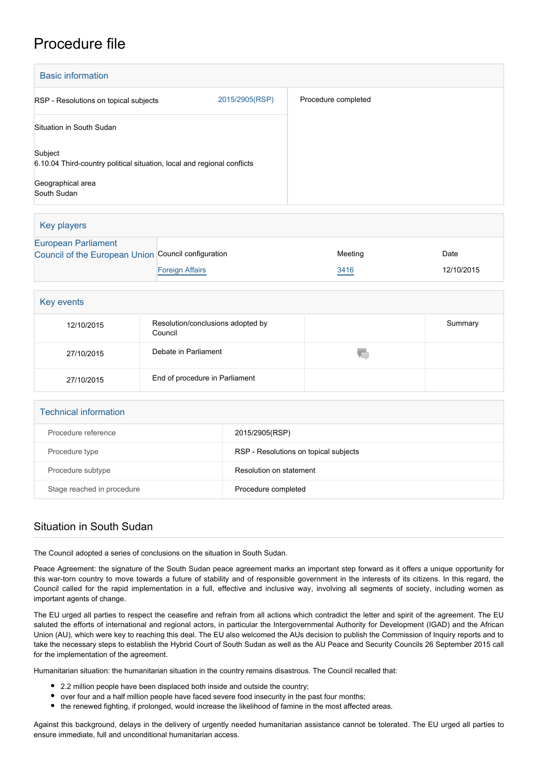## Procedure file

| <b>Basic information</b>                                                           |                |                     |  |  |
|------------------------------------------------------------------------------------|----------------|---------------------|--|--|
| RSP - Resolutions on topical subjects                                              | 2015/2905(RSP) | Procedure completed |  |  |
| Situation in South Sudan                                                           |                |                     |  |  |
| Subject<br>6.10.04 Third-country political situation, local and regional conflicts |                |                     |  |  |
| Geographical area<br>South Sudan                                                   |                |                     |  |  |

| Key players                                         |                        |         |            |
|-----------------------------------------------------|------------------------|---------|------------|
| <b>European Parliament</b>                          |                        |         |            |
| Council of the European Union Council configuration |                        | Meeting | Date       |
|                                                     | <b>Foreign Affairs</b> | 3416    | 12/10/2015 |

| Key events |                                              |    |         |
|------------|----------------------------------------------|----|---------|
| 12/10/2015 | Resolution/conclusions adopted by<br>Council |    | Summary |
| 27/10/2015 | Debate in Parliament                         | W. |         |
| 27/10/2015 | End of procedure in Parliament               |    |         |

| <b>Technical information</b> |                                       |  |
|------------------------------|---------------------------------------|--|
| Procedure reference          | 2015/2905(RSP)                        |  |
| Procedure type               | RSP - Resolutions on topical subjects |  |
| Procedure subtype            | Resolution on statement               |  |
| Stage reached in procedure   | Procedure completed                   |  |

## Situation in South Sudan

The Council adopted a series of conclusions on the situation in South Sudan.

Peace Agreement: the signature of the South Sudan peace agreement marks an important step forward as it offers a unique opportunity for this war-torn country to move towards a future of stability and of responsible government in the interests of its citizens. In this regard, the Council called for the rapid implementation in a full, effective and inclusive way, involving all segments of society, including women as important agents of change.

The EU urged all parties to respect the ceasefire and refrain from all actions which contradict the letter and spirit of the agreement. The EU saluted the efforts of international and regional actors, in particular the Intergovernmental Authority for Development (IGAD) and the African Union (AU), which were key to reaching this deal. The EU also welcomed the AUs decision to publish the Commission of Inquiry reports and to take the necessary steps to establish the Hybrid Court of South Sudan as well as the AU Peace and Security Councils 26 September 2015 call for the implementation of the agreement.

Humanitarian situation: the humanitarian situation in the country remains disastrous. The Council recalled that:

- 2.2 million people have been displaced both inside and outside the country;
- over four and a half million people have faced severe food insecurity in the past four months;
- the renewed fighting, if prolonged, would increase the likelihood of famine in the most affected areas.

Against this background, delays in the delivery of urgently needed humanitarian assistance cannot be tolerated. The EU urged all parties to ensure immediate, full and unconditional humanitarian access.